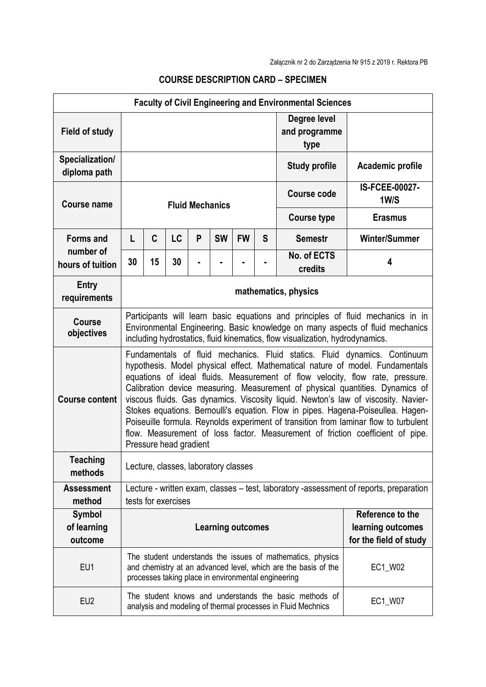| <b>Faculty of Civil Engineering and Environmental Sciences</b> |                                                                                                                                                                                                                                                                                                                                                                                                                                                                                                                                                                                                                                                                                                            |    |           |   |           |           |         |                                       |                               |
|----------------------------------------------------------------|------------------------------------------------------------------------------------------------------------------------------------------------------------------------------------------------------------------------------------------------------------------------------------------------------------------------------------------------------------------------------------------------------------------------------------------------------------------------------------------------------------------------------------------------------------------------------------------------------------------------------------------------------------------------------------------------------------|----|-----------|---|-----------|-----------|---------|---------------------------------------|-------------------------------|
| <b>Field of study</b>                                          |                                                                                                                                                                                                                                                                                                                                                                                                                                                                                                                                                                                                                                                                                                            |    |           |   |           |           |         | Degree level<br>and programme<br>type |                               |
| Specialization/<br>diploma path                                | <b>Study profile</b>                                                                                                                                                                                                                                                                                                                                                                                                                                                                                                                                                                                                                                                                                       |    |           |   |           |           |         |                                       | Academic profile              |
| <b>Course name</b>                                             | <b>Fluid Mechanics</b>                                                                                                                                                                                                                                                                                                                                                                                                                                                                                                                                                                                                                                                                                     |    |           |   |           |           |         | <b>Course code</b>                    | <b>IS-FCEE-00027-</b><br>1W/S |
|                                                                |                                                                                                                                                                                                                                                                                                                                                                                                                                                                                                                                                                                                                                                                                                            |    |           |   |           |           |         | <b>Course type</b>                    | <b>Erasmus</b>                |
| <b>Forms and</b><br>number of<br>hours of tuition              | L                                                                                                                                                                                                                                                                                                                                                                                                                                                                                                                                                                                                                                                                                                          | C  | <b>LC</b> | P | <b>SW</b> | <b>FW</b> | S       | <b>Semestr</b>                        | <b>Winter/Summer</b>          |
|                                                                | 30                                                                                                                                                                                                                                                                                                                                                                                                                                                                                                                                                                                                                                                                                                         | 15 | 30        |   |           |           |         | No. of ECTS<br>credits                | 4                             |
| <b>Entry</b><br>requirements                                   | mathematics, physics                                                                                                                                                                                                                                                                                                                                                                                                                                                                                                                                                                                                                                                                                       |    |           |   |           |           |         |                                       |                               |
| Course<br>objectives                                           | Participants will learn basic equations and principles of fluid mechanics in in<br>Environmental Engineering. Basic knowledge on many aspects of fluid mechanics<br>including hydrostatics, fluid kinematics, flow visualization, hydrodynamics.                                                                                                                                                                                                                                                                                                                                                                                                                                                           |    |           |   |           |           |         |                                       |                               |
| <b>Course content</b>                                          | Fundamentals of fluid mechanics. Fluid statics. Fluid dynamics. Continuum<br>hypothesis. Model physical effect. Mathematical nature of model. Fundamentals<br>equations of ideal fluids. Measurement of flow velocity, flow rate, pressure.<br>Calibration device measuring. Measurement of physical quantities. Dynamics of<br>viscous fluids. Gas dynamics. Viscosity liquid. Newton's law of viscosity. Navier-<br>Stokes equations. Bernoulli's equation. Flow in pipes. Hagena-Poiseullea. Hagen-<br>Poiseuille formula. Reynolds experiment of transition from laminar flow to turbulent<br>flow. Measurement of loss factor. Measurement of friction coefficient of pipe.<br>Pressure head gradient |    |           |   |           |           |         |                                       |                               |
| Teaching<br>methods                                            | Lecture, classes, laboratory classes                                                                                                                                                                                                                                                                                                                                                                                                                                                                                                                                                                                                                                                                       |    |           |   |           |           |         |                                       |                               |
| <b>Assessment</b><br>method                                    | Lecture - written exam, classes - test, laboratory -assessment of reports, preparation<br>tests for exercises                                                                                                                                                                                                                                                                                                                                                                                                                                                                                                                                                                                              |    |           |   |           |           |         |                                       |                               |
| Symbol<br>of learning<br>outcome                               | Reference to the<br><b>Learning outcomes</b><br>learning outcomes<br>for the field of study                                                                                                                                                                                                                                                                                                                                                                                                                                                                                                                                                                                                                |    |           |   |           |           |         |                                       |                               |
| EU1                                                            | The student understands the issues of mathematics, physics<br>and chemistry at an advanced level, which are the basis of the<br>processes taking place in environmental engineering                                                                                                                                                                                                                                                                                                                                                                                                                                                                                                                        |    |           |   |           |           | EC1_W02 |                                       |                               |
| EU <sub>2</sub>                                                | The student knows and understands the basic methods of<br>analysis and modeling of thermal processes in Fluid Mechnics                                                                                                                                                                                                                                                                                                                                                                                                                                                                                                                                                                                     |    |           |   |           | EC1_W07   |         |                                       |                               |

## **COURSE DESCRIPTION CARD – SPECIMEN**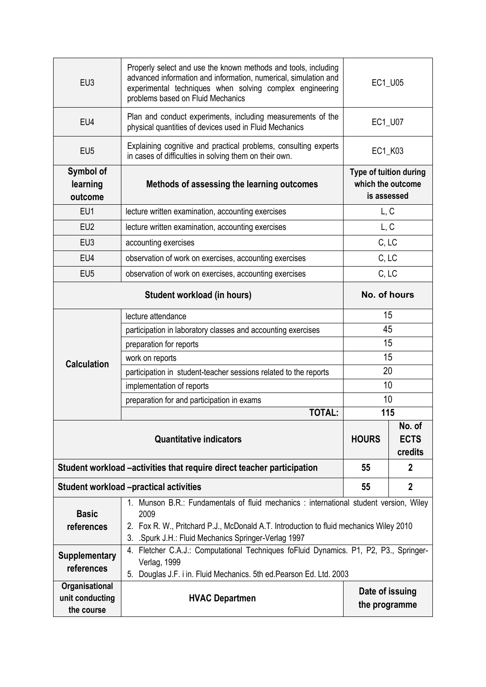| EU <sub>3</sub>                                 | Properly select and use the known methods and tools, including<br>advanced information and information, numerical, simulation and<br>experimental techniques when solving complex engineering<br>problems based on Fluid Mechanics                | EC1_U05                |                |  |  |  |
|-------------------------------------------------|---------------------------------------------------------------------------------------------------------------------------------------------------------------------------------------------------------------------------------------------------|------------------------|----------------|--|--|--|
| EU4                                             | Plan and conduct experiments, including measurements of the<br>physical quantities of devices used in Fluid Mechanics                                                                                                                             | EC1_U07                |                |  |  |  |
| EU <sub>5</sub>                                 | Explaining cognitive and practical problems, consulting experts<br>in cases of difficulties in solving them on their own.                                                                                                                         | EC1_K03                |                |  |  |  |
| Symbol of<br>learning<br>outcome                | <b>Type of tuition during</b><br>which the outcome<br>is assessed                                                                                                                                                                                 |                        |                |  |  |  |
| EU1                                             | lecture written examination, accounting exercises                                                                                                                                                                                                 | L, C                   |                |  |  |  |
| EU <sub>2</sub>                                 | lecture written examination, accounting exercises                                                                                                                                                                                                 | L, C                   |                |  |  |  |
| EU <sub>3</sub>                                 | accounting exercises                                                                                                                                                                                                                              |                        | C, LC          |  |  |  |
| EU4                                             | observation of work on exercises, accounting exercises                                                                                                                                                                                            | C, LC                  |                |  |  |  |
| EU <sub>5</sub>                                 | observation of work on exercises, accounting exercises                                                                                                                                                                                            | C, LC                  |                |  |  |  |
|                                                 | Student workload (in hours)                                                                                                                                                                                                                       | No. of hours           |                |  |  |  |
| <b>Calculation</b>                              | lecture attendance                                                                                                                                                                                                                                | 15                     |                |  |  |  |
|                                                 | participation in laboratory classes and accounting exercises                                                                                                                                                                                      | 45                     |                |  |  |  |
|                                                 | preparation for reports                                                                                                                                                                                                                           | 15                     |                |  |  |  |
|                                                 | work on reports                                                                                                                                                                                                                                   | 15                     |                |  |  |  |
|                                                 | participation in student-teacher sessions related to the reports                                                                                                                                                                                  | 20                     |                |  |  |  |
|                                                 | implementation of reports                                                                                                                                                                                                                         | 10                     |                |  |  |  |
|                                                 | preparation for and participation in exams<br><b>TOTAL:</b>                                                                                                                                                                                       | 10                     |                |  |  |  |
|                                                 | 115<br>No. of                                                                                                                                                                                                                                     |                        |                |  |  |  |
|                                                 | <b>HOURS</b>                                                                                                                                                                                                                                      | <b>ECTS</b><br>credits |                |  |  |  |
|                                                 | Student workload –activities that require direct teacher participation                                                                                                                                                                            | 55                     | $\mathbf{2}$   |  |  |  |
|                                                 | <b>Student workload -practical activities</b>                                                                                                                                                                                                     | 55                     | $\overline{2}$ |  |  |  |
| <b>Basic</b><br>references                      | 1. Munson B.R.: Fundamentals of fluid mechanics : international student version, Wiley<br>2009<br>2. Fox R. W., Pritchard P.J., McDonald A.T. Introduction to fluid mechanics Wiley 2010<br>3. . Spurk J.H.: Fluid Mechanics Springer-Verlag 1997 |                        |                |  |  |  |
| <b>Supplementary</b><br>references              | 4. Fletcher C.A.J.: Computational Techniques foFluid Dynamics. P1, P2, P3., Springer-<br>Verlag, 1999<br>5. Douglas J.F. i in. Fluid Mechanics. 5th ed. Pearson Ed. Ltd. 2003                                                                     |                        |                |  |  |  |
| Organisational<br>unit conducting<br>the course | Date of issuing<br><b>HVAC Departmen</b><br>the programme                                                                                                                                                                                         |                        |                |  |  |  |